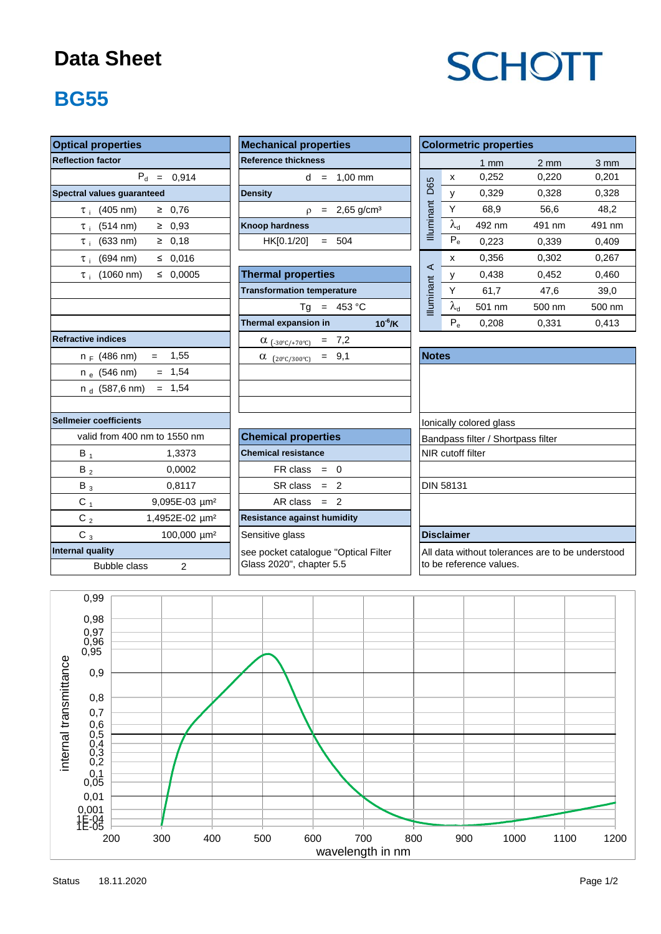#### **Data Sheet**

# **SCHOTT**

### **BG55**

| <b>Optical properties</b>                  | <b>Mechanical properties</b>         | <b>Colormetric properties</b>                    |  |  |  |
|--------------------------------------------|--------------------------------------|--------------------------------------------------|--|--|--|
| <b>Reflection factor</b>                   | <b>Reference thickness</b>           | $1 \text{ mm}$                                   |  |  |  |
| $P_d = 0,914$                              | $d = 1.00$ mm                        | 0,252<br>X                                       |  |  |  |
| Spectral values guaranteed                 | <b>Density</b>                       | <b>D65</b><br>0,329<br>y                         |  |  |  |
| $\geq 0.76$<br>$\tau_{\text{+}}$ (405 nm)  | $p = 2,65$ g/cm <sup>3</sup>         | Illuminant<br>Y<br>68,9                          |  |  |  |
| $\geq 0.93$<br>$\tau_{\rm i}$ (514 nm)     | <b>Knoop hardness</b>                | $\lambda_{\rm d}$<br>492 nm                      |  |  |  |
| $≥$ 0,18<br>$\tau_i$ (633 nm)              | HK[0.1/20]<br>$= 504$                | $P_e$<br>0,223                                   |  |  |  |
| $\tau_{\rm i}$ (694 nm)<br>≤ 0,016         |                                      | 0,356<br>x                                       |  |  |  |
| $\leq 0,0005$<br>$\tau_{i}$ (1060 nm)      | <b>Thermal properties</b>            | $\prec$<br>0,438<br>У                            |  |  |  |
|                                            | <b>Transformation temperature</b>    | Y.<br>61,7                                       |  |  |  |
|                                            | $Tg = 453 °C$                        | <b>Illuminant</b><br>$\lambda_{\sf d}$<br>501 nm |  |  |  |
|                                            | Thermal expansion in<br>$10^{-6}$ /K | $P_{\alpha}$<br>0,208                            |  |  |  |
| <b>Refractive indices</b>                  | $= 7,2$<br>$\alpha$ (-30°C/+70°C)    |                                                  |  |  |  |
| $= 1,55$<br>$n_F$ (486 nm)                 | $= 9,1$<br>$\alpha$ (20°C/300°C)     | <b>Notes</b>                                     |  |  |  |
| $= 1,54$<br>n <sub>e</sub> (546 nm)        |                                      |                                                  |  |  |  |
| $= 1,54$<br>n $_{\rm d}$ (587,6 nm)        |                                      |                                                  |  |  |  |
| Sellmeier coefficients                     |                                      | Ionically colored glass                          |  |  |  |
| valid from 400 nm to 1550 nm               | <b>Chemical properties</b>           | Bandpass filter / Shortpass                      |  |  |  |
| $B_1$<br>1,3373                            | <b>Chemical resistance</b>           | NIR cutoff filter                                |  |  |  |
| 0,0002<br>$B_2$                            | $FR \text{ class } = 0$              |                                                  |  |  |  |
| 0,8117<br>$B_3$                            | $SR class = 2$                       | <b>DIN 58131</b>                                 |  |  |  |
| $C_1$<br>9,095E-03 µm <sup>2</sup>         | $AR class = 2$                       |                                                  |  |  |  |
| C $_{\rm 2}$<br>1,4952E-02 µm <sup>2</sup> | <b>Resistance against humidity</b>   |                                                  |  |  |  |
| $C_3$<br>100,000 µm <sup>2</sup>           | Sensitive glass                      | <b>Disclaimer</b>                                |  |  |  |
| <b>Internal quality</b>                    | see pocket catalogue "Optical Filter | All data without tolerances                      |  |  |  |
| <b>Bubble class</b><br>$\overline{2}$      | Glass 2020", chapter 5.5             | to be reference values.                          |  |  |  |

| <b>Mechanical properties</b> |  |  |                              |  |  |  |  |  |
|------------------------------|--|--|------------------------------|--|--|--|--|--|
| <b>Reference thickness</b>   |  |  |                              |  |  |  |  |  |
|                              |  |  | $d = 1,00 \text{ mm}$        |  |  |  |  |  |
| <b>Density</b>               |  |  |                              |  |  |  |  |  |
|                              |  |  | $p = 2,65$ g/cm <sup>3</sup> |  |  |  |  |  |
| <b>Knoop hardness</b>        |  |  |                              |  |  |  |  |  |
| $HK[0.1/20] = 504$           |  |  |                              |  |  |  |  |  |
|                              |  |  |                              |  |  |  |  |  |

| $\tau_{\text{i}}$ (1060 nm) $\leq$ 0,0005 | <b>Thermal properties</b>                         |                  |  |
|-------------------------------------------|---------------------------------------------------|------------------|--|
|                                           | <b>Transformation temperature</b>                 |                  |  |
|                                           | 453 °C<br>Τq<br>$=$                               | <b>Iluminant</b> |  |
|                                           | $10^{-6}$ /K<br>Thermal expansion in              |                  |  |
| tive indices                              | $\alpha_{(-30^{\circ}C/+70^{\circ}C)}$ = 7,2      |                  |  |
| n <sub>F</sub> (486 nm) =<br>1,55         | $= 9.1$<br>α<br>$(20^{\circ}$ C/300 $^{\circ}$ C) | <b>Notes</b>     |  |
| $= 1,54$<br>n <sub>e</sub> (546 nm)       |                                                   |                  |  |
| n <sub>d</sub> (587,6 nm) = 1,54          |                                                   |                  |  |
|                                           |                                                   |                  |  |

| ler coefficients |                             |                             | Ionically colored glass            |
|------------------|-----------------------------|-----------------------------|------------------------------------|
|                  | alid from 400 nm to 1550 nm | <b>Chemical properties</b>  | Bandpass filter / Shortpass filter |
| в,               | 1.3373                      | <b>Chemical resistance</b>  | <b>INIR</b> cutoff filter          |
| $B_2$            | 0.0002                      | $FR \text{ class } = 0$     |                                    |
| $B_3$            | 0.8117                      | $SR class = 2$              | <b>DIN 58131</b>                   |
| C 1              | $9.095E-03 \mu m^2$         | $AR class = 2$              |                                    |
| r.               | $1.4952F.02 \cdot 1m^2$     | Resistance against humidity |                                    |

| <b>Optical properties</b>                      | <b>Mechanical properties</b>                | <b>Colormetric properties</b> |                   |                |                  |                  |
|------------------------------------------------|---------------------------------------------|-------------------------------|-------------------|----------------|------------------|------------------|
| <b>Reflection factor</b>                       | <b>Reference thickness</b>                  |                               |                   | $1 \text{ mm}$ | $2 \, \text{mm}$ | $3 \, \text{mm}$ |
| $P_{d}$<br>0.914<br>$\equiv$                   | $1,00$ mm<br>d<br>$=$                       | D65                           | x                 | 0,252          | 0,220            | 0,201            |
| Spectral values guaranteed                     | <b>Density</b>                              |                               | ۷                 | 0,329          | 0,328            | 0,328            |
| $(405 \text{ nm})$<br>0,76<br>≥<br>$\tau$ .    | $2,65$ g/cm <sup>3</sup><br>$\Omega$<br>$=$ | <u>Illuminant</u>             |                   | 68,9           | 56,6             | 48,2             |
| 0.93<br>$(514 \text{ nm})$<br>≥<br>$\tau$ :    | <b>Knoop hardness</b>                       |                               | $\lambda_{\rm d}$ | 492 nm         | 491 nm           | 491 nm           |
| $(633 \text{ nm})$<br>0,18<br>≥<br>$\tau$ :    | HK[0.1/20]<br>504<br>$=$                    |                               | $P_e$             | 0.223          | 0.339            | 0,409            |
| ≤ $0.016$<br>$(694 \text{ nm})$<br>$\tau$ :    |                                             |                               | x                 | 0,356          | 0,302            | 0,267            |
| 0.0005<br>$(1060 \text{ nm})$<br>≤<br>$\tau$ : | <b>Thermal properties</b>                   | ⋖                             | ٧                 | 0,438          | 0,452            | 0,460            |
|                                                | <b>Transformation temperature</b>           | inant                         | $\checkmark$      | 61,7           | 47,6             | 39,0             |
|                                                | 453 °C<br>Ta<br>$=$                         | llumi                         | $\lambda_{\rm d}$ | 501 nm         | 500 nm           | 500 nm           |
|                                                | $10^{-6}$ /K<br>Thermal expansion in        |                               | $P_e$             | 0.208          | 0.331            | 0.413            |

| Notes                                            |  |
|--------------------------------------------------|--|
|                                                  |  |
|                                                  |  |
|                                                  |  |
| Ionically colored glass                          |  |
| Bandpass filter / Shortpass filter               |  |
| NIR cutoff filter                                |  |
|                                                  |  |
| <b>DIN 58131</b>                                 |  |
|                                                  |  |
|                                                  |  |
| <b>Disclaimer</b>                                |  |
| All data without tolerances are to be understood |  |
| to be reference values.                          |  |